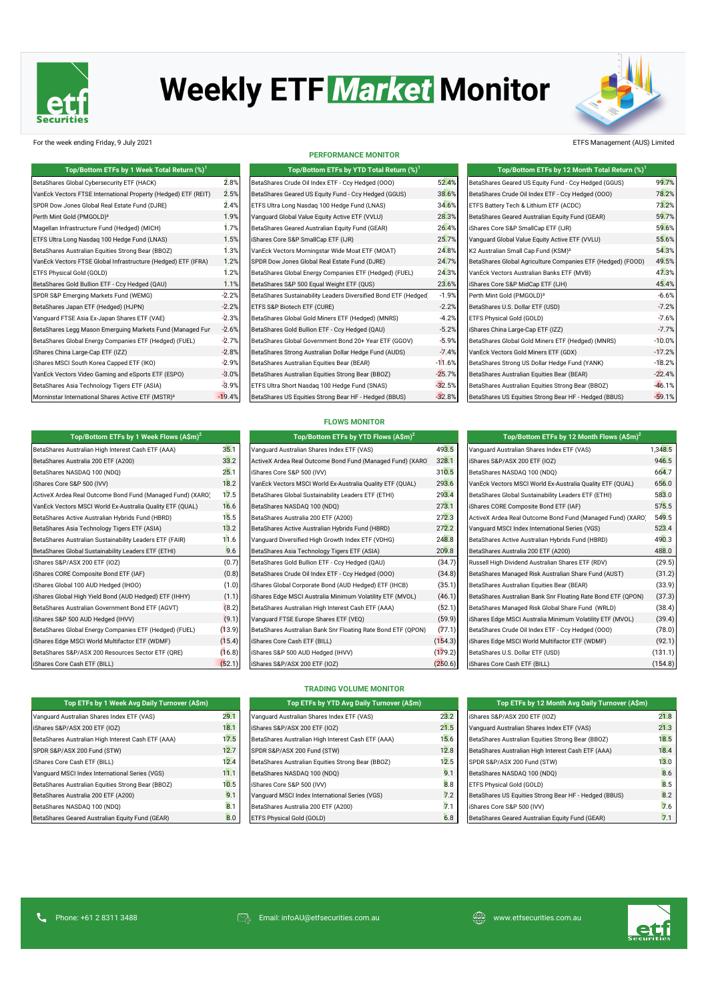

# **Weekly ETF Market Monitor**



### For the week ending Friday, 9 July 2021 ETFS Management (AUS) Limited

| Top/Bottom ETFs by 1 Week Total Return (%) <sup>1</sup>        | Top/Bottom ETFs by YTD Total Return (%) <sup>1</sup> |                                                                 | Top/Bottom ETFs by 12 Month Total Return (%) <sup>1</sup> |                                                             |          |
|----------------------------------------------------------------|------------------------------------------------------|-----------------------------------------------------------------|-----------------------------------------------------------|-------------------------------------------------------------|----------|
| BetaShares Global Cybersecurity ETF (HACK)                     | 2.8%                                                 | BetaShares Crude Oil Index ETF - Ccy Hedged (000)               | 52.4%                                                     | BetaShares Geared US Equity Fund - Ccy Hedged (GGUS)        | 99.7%    |
| VanEck Vectors FTSE International Property (Hedged) ETF (REIT) | 2.5%                                                 | BetaShares Geared US Equity Fund - Ccy Hedged (GGUS)            | 38.6%                                                     | BetaShares Crude Oil Index ETF - Ccy Hedged (000)           | 78.2%    |
| SPDR Dow Jones Global Real Estate Fund (DJRE)                  | 2.4%                                                 | ETFS Ultra Long Nasdaq 100 Hedge Fund (LNAS)                    | 34.6%                                                     | ETFS Battery Tech & Lithium ETF (ACDC)                      | 73.2%    |
| Perth Mint Gold (PMGOLD) <sup>3</sup>                          | 1.9%                                                 | Vanguard Global Value Equity Active ETF (VVLU)                  | 28.3%                                                     | BetaShares Geared Australian Equity Fund (GEAR)             | 59.7%    |
| Magellan Infrastructure Fund (Hedged) (MICH)                   | 1.7%                                                 | BetaShares Geared Australian Equity Fund (GEAR)                 | 26.4%                                                     | iShares Core S&P SmallCap ETF (IJR)                         | 59.6%    |
| ETFS Ultra Long Nasdag 100 Hedge Fund (LNAS)                   | 1.5%                                                 | iShares Core S&P SmallCap ETF (IJR)                             | 25.7%                                                     | Vanquard Global Value Equity Active ETF (VVLU)              | 55.6%    |
| BetaShares Australian Equities Strong Bear (BBOZ)              | 1.3%                                                 | VanEck Vectors Morningstar Wide Moat ETF (MOAT)                 | 24.8%                                                     | K2 Australian Small Cap Fund (KSM) <sup>3</sup>             | 54.3%    |
| VanEck Vectors FTSE Global Infrastructure (Hedged) ETF (IFRA)  | 1.2%                                                 | SPDR Dow Jones Global Real Estate Fund (DJRE)                   | 24.7%                                                     | BetaShares Global Agriculture Companies ETF (Hedged) (FOOD) | 49.5%    |
| ETFS Physical Gold (GOLD)                                      | 1.2%                                                 | BetaShares Global Energy Companies ETF (Hedged) (FUEL)          | 24.3%                                                     | VanEck Vectors Australian Banks ETF (MVB)                   | 47.3%    |
| BetaShares Gold Bullion ETF - Ccy Hedged (QAU)                 | 1.1%                                                 | BetaShares S&P 500 Equal Weight ETF (QUS)                       | 23.6%                                                     | iShares Core S&P MidCap ETF (IJH)                           | 45.4%    |
| SPDR S&P Emerging Markets Fund (WEMG)                          | $-2.2%$                                              | BetaShares Sustainability Leaders Diversified Bond ETF (Hedged) | $-1.9%$                                                   | Perth Mint Gold (PMGOLD) <sup>3</sup>                       | $-6.6%$  |
| BetaShares Japan ETF (Hedged) (HJPN)                           | $-2.2%$                                              | ETFS S&P Biotech ETF (CURE)                                     | $-2.2%$                                                   | BetaShares U.S. Dollar ETF (USD)                            | $-7.2%$  |
| Vanguard FTSE Asia Ex-Japan Shares ETF (VAE)                   | $-2.3%$                                              | BetaShares Global Gold Miners ETF (Hedged) (MNRS)               | $-4.2%$                                                   | ETFS Physical Gold (GOLD)                                   | $-7.6%$  |
| BetaShares Legg Mason Emerguing Markets Fund (Managed Fun      | $-2.6%$                                              | BetaShares Gold Bullion ETF - Ccy Hedged (QAU)                  | $-5.2%$                                                   | iShares China Large-Cap ETF (IZZ)                           | $-7.7%$  |
| BetaShares Global Energy Companies ETF (Hedged) (FUEL)         | $-2.7%$                                              | BetaShares Global Government Bond 20+ Year ETF (GGOV)           | $-5.9%$                                                   | BetaShares Global Gold Miners ETF (Hedged) (MNRS)           | $-10.0%$ |
| iShares China Large-Cap ETF (IZZ)                              | $-2.8%$                                              | BetaShares Strong Australian Dollar Hedge Fund (AUDS)           | $-7.4%$                                                   | VanEck Vectors Gold Miners ETF (GDX)                        | $-17.2%$ |
| iShares MSCI South Korea Capped ETF (IKO)                      | $-2.9%$                                              | BetaShares Australian Equities Bear (BEAR)                      | $-11.6%$                                                  | BetaShares Strong US Dollar Hedge Fund (YANK)               | $-18.2%$ |
| VanEck Vectors Video Gaming and eSports ETF (ESPO)             | $-3.0%$                                              | BetaShares Australian Equities Strong Bear (BBOZ)               | $-25.7%$                                                  | BetaShares Australian Equities Bear (BEAR)                  | $-22.4%$ |
| BetaShares Asia Technology Tigers ETF (ASIA)                   | $-3.9%$                                              | ETFS Ultra Short Nasdag 100 Hedge Fund (SNAS)                   | $-32.5%$                                                  | BetaShares Australian Equities Strong Bear (BBOZ)           | $-46.1%$ |
| Morninstar International Shares Active ETF (MSTR) <sup>3</sup> | $-19.4%$                                             | BetaShares US Equities Strong Bear HF - Hedged (BBUS)           | $-32.8%$                                                  | BetaShares US Equities Strong Bear HF - Hedged (BBUS)       | $-59.1%$ |

**Top/Bottom ETFs by 1 Week Flows (A\$m)<sup>2</sup> Top/Bottom ETFs by YTD Flows (A\$m)<sup>2</sup> Top/Bottom ETFs by 12 Month Flows (A\$m)<sup>2</sup>**

#### **PERFORMANCE MONITOR**

| Top/Bottom ETFs by 1 Week Total Return (%) $^{\rm 1}$ |          | Top/Bottom ETFs by YTD Total Return $(\%)^1$                    |          | Top/Bottom ETFs by 12 Month Total Return (%)                |
|-------------------------------------------------------|----------|-----------------------------------------------------------------|----------|-------------------------------------------------------------|
| Global Cybersecurity ETF (HACK)                       | 2.8%     | BetaShares Crude Oil Index ETF - Ccy Hedged (000)               | 52.4%    | BetaShares Geared US Equity Fund - Ccy Hedged (GGUS)        |
| tors FTSE International Property (Hedged) ETF (REIT)  | 2.5%     | BetaShares Geared US Equity Fund - Ccy Hedged (GGUS)            | 38.6%    | BetaShares Crude Oil Index ETF - Ccy Hedged (000)           |
| Jones Global Real Estate Fund (DJRE)                  | 2.4%     | ETFS Ultra Long Nasdag 100 Hedge Fund (LNAS)                    | 34.6%    | ETFS Battery Tech & Lithium ETF (ACDC)                      |
| Gold (PMGOLD) <sup>3</sup>                            | 1.9%     | Vanguard Global Value Equity Active ETF (VVLU)                  | 28.3%    | BetaShares Geared Australian Equity Fund (GEAR)             |
| frastructure Fund (Hedged) (MICH)                     | 1.7%     | BetaShares Geared Australian Equity Fund (GEAR)                 | 26.4%    | iShares Core S&P SmallCap ETF (IJR)                         |
| ong Nasdag 100 Hedge Fund (LNAS)                      | 1.5%     | iShares Core S&P SmallCap ETF (IJR)                             | 25.7%    | Vanguard Global Value Equity Active ETF (VVLU)              |
| Australian Equities Strong Bear (BBOZ)                | 1.3%     | VanEck Vectors Morningstar Wide Moat ETF (MOAT)                 | 24.8%    | K2 Australian Small Cap Fund (KSM) <sup>3</sup>             |
| tors FTSE Global Infrastructure (Hedged) ETF (IFRA)   | 1.2%     | SPDR Dow Jones Global Real Estate Fund (DJRE)                   | 24.7%    | BetaShares Global Agriculture Companies ETF (Hedged) (FOOD) |
| al Gold (GOLD)                                        | 1.2%     | BetaShares Global Energy Companies ETF (Hedged) (FUEL)          | 24.3%    | VanEck Vectors Australian Banks ETF (MVB)                   |
| Gold Bullion ETF - Ccy Hedged (QAU)                   | 1.1%     | BetaShares S&P 500 Equal Weight ETF (QUS)                       | 23.6%    | iShares Core S&P MidCap ETF (IJH)                           |
| merging Markets Fund (WEMG)                           | $-2.2%$  | BetaShares Sustainability Leaders Diversified Bond ETF (Hedged) | $-1.9%$  | Perth Mint Gold (PMGOLD) <sup>3</sup>                       |
| Japan ETF (Hedged) (HJPN)                             | $-2.2%$  | ETFS S&P Biotech ETF (CURE)                                     | $-2.2%$  | BetaShares U.S. Dollar ETF (USD)                            |
| TSE Asia Ex-Japan Shares ETF (VAE)                    | $-2.3%$  | BetaShares Global Gold Miners ETF (Hedged) (MNRS)               | $-4.2%$  | ETFS Physical Gold (GOLD)                                   |
| Legg Mason Emerguing Markets Fund (Managed Fun        | $-2.6%$  | BetaShares Gold Bullion ETF - Ccy Hedged (QAU)                  | $-5.2%$  | iShares China Large-Cap ETF (IZZ)                           |
| Global Energy Companies ETF (Hedged) (FUEL)           | $-2.7%$  | BetaShares Global Government Bond 20+ Year ETF (GGOV)           | $-5.9%$  | BetaShares Global Gold Miners ETF (Hedged) (MNRS)           |
| a Large-Cap ETF (IZZ)                                 | $-2.8%$  | BetaShares Strong Australian Dollar Hedge Fund (AUDS)           | $-7.4%$  | VanEck Vectors Gold Miners ETF (GDX)                        |
| CI South Korea Capped ETF (IKO)                       | $-2.9%$  | BetaShares Australian Equities Bear (BEAR)                      | $-11.6%$ | BetaShares Strong US Dollar Hedge Fund (YANK)               |
| tors Video Gaming and eSports ETF (ESPO)              | $-3.0%$  | BetaShares Australian Equities Strong Bear (BBOZ)               | $-25.7%$ | BetaShares Australian Equities Bear (BEAR)                  |
| Asia Technology Tigers ETF (ASIA)                     | $-3.9%$  | ETFS Ultra Short Nasdag 100 Hedge Fund (SNAS)                   | $-32.5%$ | BetaShares Australian Equities Strong Bear (BBOZ)           |
| International Shares Active ETF (MSTR) <sup>3</sup>   | $-19.4%$ | BetaShares US Equities Strong Bear HF - Hedged (BBUS)           | $-32.8%$ | BetaShares US Equities Strong Bear HF - Hedged (BBUS)       |

| Top/Bottom ETFs by 1 Week Total Return (%) <sup>1</sup>        |          | Top/Bottom ETFs by YTD Total Return (%) <sup>1</sup>            |          | Top/Bottom ETFs by 12 Month Total Return $(\%)^1$           |          |
|----------------------------------------------------------------|----------|-----------------------------------------------------------------|----------|-------------------------------------------------------------|----------|
| BetaShares Global Cybersecurity ETF (HACK)                     | 2.8%     | BetaShares Crude Oil Index ETF - Ccy Hedged (000)               | 52.4%    | BetaShares Geared US Equity Fund - Ccy Hedged (GGUS)        | 99.7%    |
| VanEck Vectors FTSE International Property (Hedged) ETF (REIT) | 2.5%     | BetaShares Geared US Equity Fund - Ccy Hedged (GGUS)            | 38.6%    | BetaShares Crude Oil Index ETF - Ccy Hedged (000)           | 78.2%    |
| SPDR Dow Jones Global Real Estate Fund (DJRE)                  | 2.4%     | ETFS Ultra Long Nasdaq 100 Hedge Fund (LNAS)                    | 34.6%    | ETFS Battery Tech & Lithium ETF (ACDC)                      | 73.2%    |
| Perth Mint Gold (PMGOLD) <sup>3</sup>                          | 1.9%     | Vanguard Global Value Equity Active ETF (VVLU)                  | 28.3%    | BetaShares Geared Australian Equity Fund (GEAR)             | 59.7%    |
| Magellan Infrastructure Fund (Hedged) (MICH)                   | 1.7%     | BetaShares Geared Australian Equity Fund (GEAR)                 | 26.4%    | iShares Core S&P SmallCap ETF (IJR)                         | 59.6%    |
| ETFS Ultra Long Nasdaq 100 Hedge Fund (LNAS)                   | 1.5%     | iShares Core S&P SmallCap ETF (IJR)                             | 25.7%    | Vanguard Global Value Equity Active ETF (VVLU)              | 55.6%    |
| BetaShares Australian Equities Strong Bear (BBOZ)              | 1.3%     | VanEck Vectors Morningstar Wide Moat ETF (MOAT)                 | 24.8%    | K2 Australian Small Cap Fund (KSM) <sup>3</sup>             | 54.3%    |
| VanEck Vectors FTSE Global Infrastructure (Hedged) ETF (IFRA)  | 1.2%     | SPDR Dow Jones Global Real Estate Fund (DJRE)                   | 24.7%    | BetaShares Global Agriculture Companies ETF (Hedged) (FOOD) | 49.5%    |
| ETFS Physical Gold (GOLD)                                      | 1.2%     | BetaShares Global Energy Companies ETF (Hedged) (FUEL)          | 24.3%    | VanEck Vectors Australian Banks ETF (MVB)                   | 47.3%    |
| BetaShares Gold Bullion ETF - Ccy Hedged (QAU)                 | 1.1%     | BetaShares S&P 500 Equal Weight ETF (QUS)                       | 23.6%    | iShares Core S&P MidCap ETF (IJH)                           | 45.4%    |
| SPDR S&P Emerging Markets Fund (WEMG)                          | $-2.2%$  | BetaShares Sustainability Leaders Diversified Bond ETF (Hedged) | $-1.9%$  | Perth Mint Gold (PMGOLD) <sup>3</sup>                       | $-6.6%$  |
| BetaShares Japan ETF (Hedged) (HJPN)                           | $-2.2%$  | ETFS S&P Biotech ETF (CURE)                                     | $-2.2%$  | BetaShares U.S. Dollar ETF (USD)                            | $-7.2%$  |
| Vanguard FTSE Asia Ex-Japan Shares ETF (VAE)                   | $-2.3%$  | BetaShares Global Gold Miners ETF (Hedged) (MNRS)               | $-4.2%$  | ETFS Physical Gold (GOLD)                                   | $-7.6%$  |
| BetaShares Legg Mason Emerguing Markets Fund (Managed Fun      | $-2.6%$  | BetaShares Gold Bullion ETF - Ccy Hedged (QAU)                  | $-5.2%$  | iShares China Large-Cap ETF (IZZ)                           | $-7.7%$  |
| BetaShares Global Energy Companies ETF (Hedged) (FUEL)         | $-2.7%$  | BetaShares Global Government Bond 20+ Year ETF (GGOV)           | $-5.9%$  | BetaShares Global Gold Miners ETF (Hedged) (MNRS)           | $-10.0%$ |
| iShares China Large-Cap ETF (IZZ)                              | $-2.8%$  | BetaShares Strong Australian Dollar Hedge Fund (AUDS)           | $-7.4%$  | VanEck Vectors Gold Miners ETF (GDX)                        | $-17.2%$ |
| iShares MSCI South Korea Capped ETF (IKO)                      | $-2.9%$  | BetaShares Australian Equities Bear (BEAR)                      | $-11.6%$ | BetaShares Strong US Dollar Hedge Fund (YANK)               | $-18.2%$ |
| VanEck Vectors Video Gaming and eSports ETF (ESPO)             | $-3.0%$  | BetaShares Australian Equities Strong Bear (BBOZ)               | $-25.7%$ | BetaShares Australian Equities Bear (BEAR)                  | $-22.4%$ |
| BetaShares Asia Technology Tigers ETF (ASIA)                   | $-3.9%$  | ETFS Ultra Short Nasdag 100 Hedge Fund (SNAS)                   | $-32.5%$ | BetaShares Australian Equities Strong Bear (BBOZ)           | $-46.1%$ |
| Morninstar International Shares Active ETF (MSTR) <sup>3</sup> | $-19.4%$ | BetaShares US Equities Strong Bear HF - Hedged (BBUS)           | $-32.8%$ | BetaShares US Fquities Strong Bear HF - Hedged (BBUS)       | $-59.1%$ |

## **FLOWS MONITOR**

| Top/Bottom ETFs by 1 Week Flows (A\$m) <sup>2</sup>        |        | Top/Bottom ETFs by YTD Flows $(A\hat{S}m)^2$                 |         | Top/Bottom ETFs by 12 Month Flows $(A\sin)^2$                |         |  |
|------------------------------------------------------------|--------|--------------------------------------------------------------|---------|--------------------------------------------------------------|---------|--|
| BetaShares Australian High Interest Cash ETF (AAA)         | 35.1   | Vanquard Australian Shares Index ETF (VAS)                   | 493.5   | Vanguard Australian Shares Index ETF (VAS)                   | 1,348.5 |  |
| BetaShares Australia 200 ETF (A200)                        | 33.2   | ActiveX Ardea Real Outcome Bond Fund (Managed Fund) (XARO)   | 328.1   | iShares S&P/ASX 200 ETF (IOZ)                                | 946.5   |  |
| BetaShares NASDAQ 100 (NDQ)                                | 25.1   | iShares Core S&P 500 (IVV)                                   | 310.5   | BetaShares NASDAQ 100 (NDQ)                                  | 664.7   |  |
| iShares Core S&P 500 (IVV)                                 | 18.2   | VanEck Vectors MSCI World Ex-Australia Quality ETF (QUAL)    | 293.6   | VanEck Vectors MSCI World Ex-Australia Quality ETF (QUAL)    | 656.0   |  |
| ActiveX Ardea Real Outcome Bond Fund (Managed Fund) (XARO) | 17.5   | BetaShares Global Sustainability Leaders ETF (ETHI)          | 293.4   | BetaShares Global Sustainability Leaders ETF (ETHI)          | 583.0   |  |
| VanEck Vectors MSCI World Ex-Australia Quality ETF (QUAL)  | 16.6   | BetaShares NASDAQ 100 (NDQ)                                  | 273.1   | iShares CORE Composite Bond ETF (IAF)                        | 575.5   |  |
| BetaShares Active Australian Hybrids Fund (HBRD)           | 15.5   | BetaShares Australia 200 ETF (A200)                          | 272.3   | ActiveX Ardea Real Outcome Bond Fund (Managed Fund) (XARO)   | 549.5   |  |
| BetaShares Asia Technology Tigers ETF (ASIA)               | 13.2   | BetaShares Active Australian Hybrids Fund (HBRD)             | 272.2   | Vanguard MSCI Index International Series (VGS)               | 523.4   |  |
| BetaShares Australian Sustainability Leaders ETF (FAIR)    | 11.6   | Vanguard Diversified High Growth Index ETF (VDHG)            | 248.8   | BetaShares Active Australian Hybrids Fund (HBRD)             | 490.3   |  |
| BetaShares Global Sustainability Leaders ETF (ETHI)        | 9.6    | BetaShares Asia Technology Tigers ETF (ASIA)                 | 209.8   | BetaShares Australia 200 ETF (A200)                          | 488.0   |  |
| iShares S&P/ASX 200 ETF (IOZ)                              | (0.7)  | BetaShares Gold Bullion ETF - Ccy Hedged (QAU)               | (34.7)  | Russell High Dividend Australian Shares ETF (RDV)            | (29.5)  |  |
| iShares CORE Composite Bond ETF (IAF)                      | (0.8)  | BetaShares Crude Oil Index ETF - Ccy Hedged (000)            | (34.8)  | BetaShares Managed Risk Australian Share Fund (AUST)         | (31.2)  |  |
| iShares Global 100 AUD Hedged (IHOO)                       | (1.0)  | iShares Global Corporate Bond (AUD Hedged) ETF (IHCB)        | (35.1)  | BetaShares Australian Equities Bear (BEAR)                   | (33.9)  |  |
| iShares Global High Yield Bond (AUD Hedged) ETF (IHHY)     | (1.1)  | iShares Edge MSCI Australia Minimum Volatility ETF (MVOL)    | (46.1)  | BetaShares Australian Bank Snr Floating Rate Bond ETF (QPON) | (37.3)  |  |
| BetaShares Australian Government Bond ETF (AGVT)           | (8.2)  | BetaShares Australian High Interest Cash ETF (AAA)           | (52.1)  | BetaShares Managed Risk Global Share Fund (WRLD)             | (38.4)  |  |
| iShares S&P 500 AUD Hedged (IHVV)                          | (9.1)  | Vanguard FTSE Europe Shares ETF (VEQ)                        | (59.9)  | iShares Edge MSCI Australia Minimum Volatility ETF (MVOL)    | (39.4)  |  |
| BetaShares Global Energy Companies ETF (Hedged) (FUEL)     | (13.9) | BetaShares Australian Bank Snr Floating Rate Bond ETF (QPON) | (77.1)  | BetaShares Crude Oil Index ETF - Ccy Hedged (000)            | (78.0)  |  |
| iShares Edge MSCI World Multifactor ETF (WDMF)             | (15.4) | iShares Core Cash ETF (BILL)                                 | (154.3) | iShares Edge MSCI World Multifactor ETF (WDMF)               | (92.1)  |  |
| BetaShares S&P/ASX 200 Resources Sector ETF (QRE)          | (16.8) | iShares S&P 500 AUD Hedged (IHVV)                            | (179.2) | BetaShares U.S. Dollar ETF (USD)                             | (131.1) |  |
| iShares Core Cash ETF (BILL)                               | (52.1) | iShares S&P/ASX 200 ETF (IOZ)                                | (250.6) | iShares Core Cash ETF (BILL)                                 | (154.8) |  |

| Top/Bottom ETFs by 12 Month Flows (A\$m) <sup>2</sup>        |           |
|--------------------------------------------------------------|-----------|
| Vanguard Australian Shares Index ETF (VAS)                   | 1.348.5   |
| iShares S&P/ASX 200 ETF (IOZ)                                | 946.5     |
| BetaShares NASDAQ 100 (NDQ)                                  | 664.7     |
| VanEck Vectors MSCI World Ex-Australia Quality ETF (QUAL)    | 656.0     |
| BetaShares Global Sustainability Leaders ETF (ETHI)          | 583.0     |
| iShares CORE Composite Bond ETF (IAF)                        | 575.5     |
| ActiveX Ardea Real Outcome Bond Fund (Managed Fund) (XARO)   | 549.5     |
| Vanquard MSCI Index International Series (VGS)               | 523.4     |
| BetaShares Active Australian Hybrids Fund (HBRD)             | 490.3     |
| BetaShares Australia 200 ETF (A200)                          | 488.0     |
| Russell High Dividend Australian Shares ETF (RDV)            | (29.5)    |
| BetaShares Managed Risk Australian Share Fund (AUST)         | (31.2)    |
| BetaShares Australian Equities Bear (BEAR)                   | (33.9)    |
| BetaShares Australian Bank Snr Floating Rate Bond ETF (QPON) | (37.3)    |
| BetaShares Managed Risk Global Share Fund (WRLD)             | (38.4)    |
| iShares Edge MSCI Australia Minimum Volatility ETF (MVOL)    | (39.4)    |
| BetaShares Crude Oil Index ETF - Ccy Hedged (000)            | (78.0)    |
| iShares Edge MSCI World Multifactor ETF (WDMF)               | (92.1)    |
| BetaShares U.S. Dollar ETF (USD)                             | (131.1)   |
|                                                              | $(1 - 1)$ |

# أكر 1<mark>2.4</mark> BetaSh ETF (BILL) 12.4 BetaShares Core Cash ETF (BILL)<br>التي التي التي الاستفادة الاستفادة التي التي الملك 1<mark>1</mark>.1 **Top ETFs by 1 Week Avg Daily Turnover (A\$m) Top ETFs by 12 Month Avg Daily Turnover (A\$m)**

# **TRADING VOLUME MONITOR**

| Top ETFs by 1 Week Avg Daily Turnover (A\$m)       | Top ETFs by YTD Avg Daily Turnover (A\$m) |                                                    |      |  |
|----------------------------------------------------|-------------------------------------------|----------------------------------------------------|------|--|
| Vanquard Australian Shares Index ETF (VAS)         | 29.1                                      | Vanguard Australian Shares Index ETF (VAS)         | 23.2 |  |
| iShares S&P/ASX 200 ETF (IOZ)                      | 18.1                                      | iShares S&P/ASX 200 ETF (IOZ)                      | 21.5 |  |
| BetaShares Australian High Interest Cash ETF (AAA) | 17.5                                      | BetaShares Australian High Interest Cash ETF (AAA) | 15.6 |  |
| SPDR S&P/ASX 200 Fund (STW)                        | 12.7                                      | SPDR S&P/ASX 200 Fund (STW)                        | 12.8 |  |
| iShares Core Cash ETF (BILL)                       | 12.4                                      | BetaShares Australian Equities Strong Bear (BBOZ)  | 12.5 |  |
| Vanquard MSCI Index International Series (VGS)     | 11.1                                      | BetaShares NASDAQ 100 (NDQ)                        | 9.1  |  |
| BetaShares Australian Equities Strong Bear (BBOZ)  | 10.5                                      | iShares Core S&P 500 (IVV)                         | 8.8  |  |
| BetaShares Australia 200 ETF (A200)                | 9.1                                       | Vanquard MSCI Index International Series (VGS)     | 7.2  |  |
| BetaShares NASDAQ 100 (NDQ)                        | 8.1                                       | BetaShares Australia 200 ETF (A200)                | 7.1  |  |
| BetaShares Geared Australian Equity Fund (GEAR)    | 8.0                                       | ETFS Physical Gold (GOLD)                          | 6.8  |  |

| Top ETFs by 12 Month Avg Daily Turnover (A\$m)        |      |
|-------------------------------------------------------|------|
| iShares S&P/ASX 200 ETF (IOZ)                         | 21.8 |
| Vanguard Australian Shares Index ETF (VAS)            | 21.3 |
| BetaShares Australian Equities Strong Bear (BBOZ)     | 18.5 |
| BetaShares Australian High Interest Cash ETF (AAA)    | 18.4 |
| SPDR S&P/ASX 200 Fund (STW)                           | 13.0 |
| BetaShares NASDAQ 100 (NDQ)                           | 8.6  |
| ETFS Physical Gold (GOLD)                             | 8.5  |
| BetaShares US Equities Strong Bear HF - Hedged (BBUS) | 8.2  |
| iShares Core S&P 500 (IVV)                            | 7.6  |
| BetaShares Geared Australian Equity Fund (GEAR)       | 7.1  |